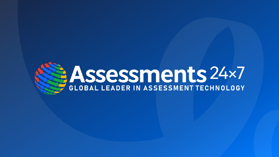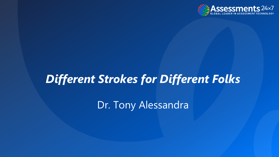

# *Different Strokes for Different Folks*

Dr. Tony Alessandra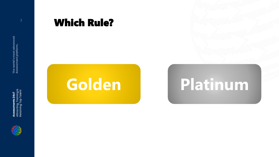



#### Which Rule?

# **Golden Platinum**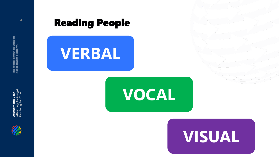

Assessments 24x7<br>Attracting, Training &<br>Retaining Top Talent Attracting, Training & Retaining Top Talent

### **Reading People**





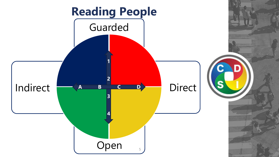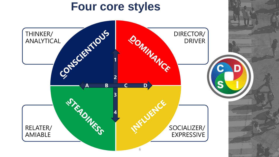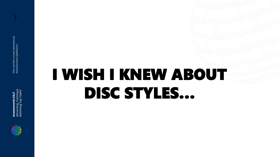

#### 7

# I WISH I KNEW ABOUT DISC STYLES…

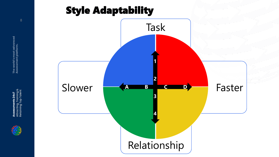# Style Adaptability



The world's most advanced<br>Assessment platform. **Assessments 24x7 The world's most advanced Assessment platform.**

8

Assessments 24x7<br>Attracting, Training &<br>Retaining Top Talent Attracting, Training & Retaining Top Talent

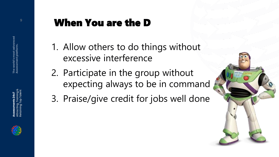# Attracting, Training & Retaining Top Talent



# **Part 20 When You are the D**

- 1. Allow others to do things without excessive interference
- 2. Participate in the group without expecting always to be in command
- 3. Praise/give credit for jobs well done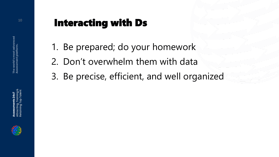

# **10 Interacting with Ds**

- 1. Be prepared; do your homework
- 2. Don't overwhelm them with data
- 3. Be precise, efficient, and well organized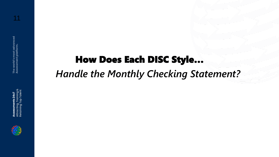

# How Does Each DISC Style… *Handle the Monthly Checking Statement?*

#### 11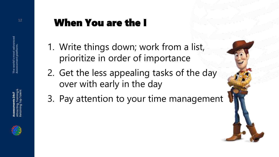# **12 When You are the I**

- 1. Write things down; work from a list, prioritize in order of importance
- 2. Get the less appealing tasks of the day over with early in the day
- 3. Pay attention to your time management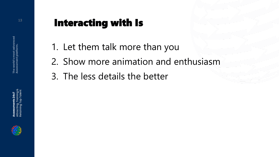

# <sup>13</sup> Interacting with Is

- 1. Let them talk more than you
- 2. Show more animation and enthusiasm
- 3. The less details the better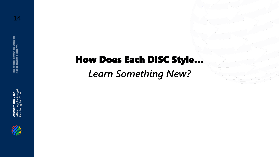Assessments 24x7<br>Attracting, Training &<br>Retaining Top Talent Attracting, Training & Retaining Top Talent



How Does Each DISC Style… *Learn Something New?*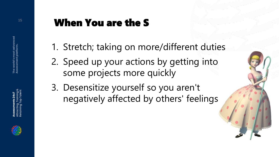# **15 When You are the S**

- 1. Stretch; taking on more/different duties
- 2. Speed up your actions by getting into some projects more quickly
- 3. Desensitize yourself so you aren't negatively affected by others' feelings

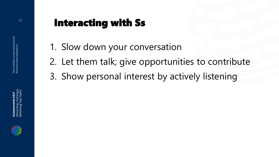# **16 Interacting with Ss**

- 1. Slow down your conversation
- 2. Let them talk; give opportunities to contribute
- 3. Show personal interest by actively listening



Attracting, Training & Retaining Top Talent

Attracting, Training &<br>Retaining Top Talent ssessments 24x7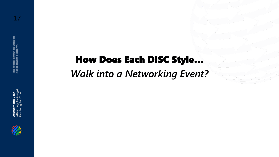How Does Each DISC Style… *Walk into a Networking Event?*



Attracting, Training & Retaining Top Talent

**Assessments 24x7**<br>Attracting, Training &<br>Retaining Top Talent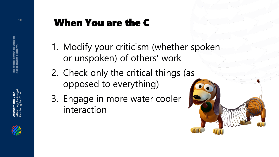

# **18 When You are the C**

- 1. Modify your criticism (whether spoken or unspoken) of others' work
- 2. Check only the critical things (as opposed to everything)
- 3. Engage in more water cooler interaction

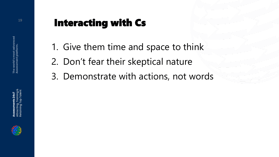

# <sup>19</sup> Interacting with Cs

- 1. Give them time and space to think
- 2. Don't fear their skeptical nature
- 3. Demonstrate with actions, not words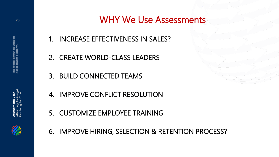#### WHY We Use Assessments

- 1. INCREASE EFFECTIVENESS IN SALES?
- 2. CREATE WORLD-CLASS LEADERS
- 3. BUILD CONNECTED TEAMS
- 4. IMPROVE CONFLICT RESOLUTION
- 5. CUSTOMIZE EMPLOYEE TRAINING
- 6. IMPROVE HIRING, SELECTION & RETENTION PROCESS?





**20**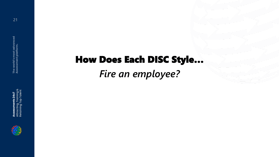# How Does Each DISC Style… *Fire an employee?*





21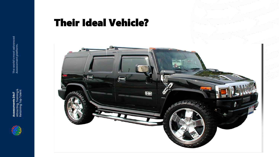

Assessments 24x7<br>Attracting, Training &<br>Retaining Top Talent Attracting, Training & Retaining Top Talent

### Their Ideal Vehicle?

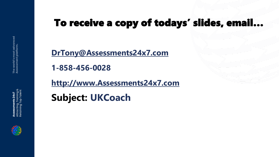**[DrTony@Assessments24x7.com](mailto:DrTony@Assessments24x7.com)**

**1-858-456-0028**

**[http://www.Assessments24x7.com](http://www.assessments24x7.com/)**

**Subject: UKCoach**